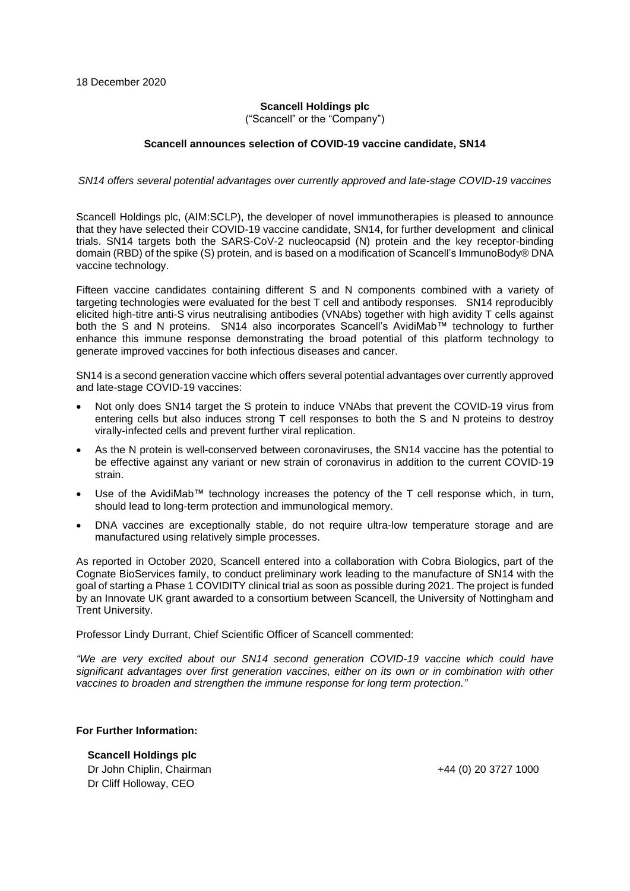## **Scancell Holdings plc**

("Scancell" or the "Company")

### **Scancell announces selection of COVID-19 vaccine candidate, SN14**

#### *SN14 offers several potential advantages over currently approved and late-stage COVID-19 vaccines*

Scancell Holdings plc, (AIM:SCLP), the developer of novel immunotherapies is pleased to announce that they have selected their COVID-19 vaccine candidate, SN14, for further development and clinical trials. SN14 targets both the SARS-CoV-2 nucleocapsid (N) protein and the key receptor-binding domain (RBD) of the spike (S) protein, and is based on a modification of Scancell's ImmunoBody® DNA vaccine technology.

Fifteen vaccine candidates containing different S and N components combined with a variety of targeting technologies were evaluated for the best T cell and antibody responses. SN14 reproducibly elicited high-titre anti-S virus neutralising antibodies (VNAbs) together with high avidity T cells against both the S and N proteins. SN14 also incorporates Scancell's AvidiMab™ technology to further enhance this immune response demonstrating the broad potential of this platform technology to generate improved vaccines for both infectious diseases and cancer.

SN14 is a second generation vaccine which offers several potential advantages over currently approved and late-stage COVID-19 vaccines:

- Not only does SN14 target the S protein to induce VNAbs that prevent the COVID-19 virus from entering cells but also induces strong T cell responses to both the S and N proteins to destroy virally-infected cells and prevent further viral replication.
- As the N protein is well-conserved between coronaviruses, the SN14 vaccine has the potential to be effective against any variant or new strain of coronavirus in addition to the current COVID-19 strain.
- Use of the AvidiMab™ technology increases the potency of the T cell response which, in turn, should lead to long-term protection and immunological memory.
- DNA vaccines are exceptionally stable, do not require ultra-low temperature storage and are manufactured using relatively simple processes.

As reported in October 2020, Scancell entered into a collaboration with Cobra Biologics, part of the Cognate BioServices family, to conduct preliminary work leading to the manufacture of SN14 with the goal of starting a Phase 1 COVIDITY clinical trial as soon as possible during 2021. The project is funded by an Innovate UK grant awarded to a consortium between Scancell, the University of Nottingham and Trent University.

Professor Lindy Durrant, Chief Scientific Officer of Scancell commented:

*"We are very excited about our SN14 second generation COVID-19 vaccine which could have significant advantages over first generation vaccines, either on its own or in combination with other vaccines to broaden and strengthen the immune response for long term protection."*

### **For Further Information:**

**Scancell Holdings plc** Dr John Chiplin, Chairman +44 (0) 20 3727 1000 Dr Cliff Holloway, CEO